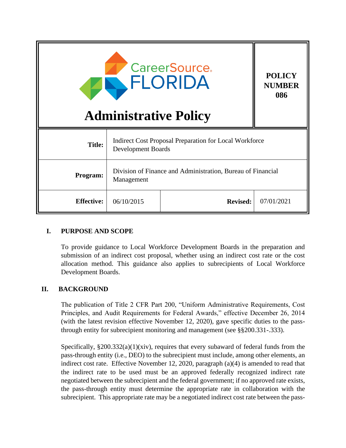|                   | <b>Administrative Policy</b>                                              | <b>CareerSource</b><br>FLORIDA                                | <b>POLICY</b><br><b>NUMBER</b><br>086 |
|-------------------|---------------------------------------------------------------------------|---------------------------------------------------------------|---------------------------------------|
| <b>Title:</b>     | Development Boards                                                        | <b>Indirect Cost Proposal Preparation for Local Workforce</b> |                                       |
| Program:          | Division of Finance and Administration, Bureau of Financial<br>Management |                                                               |                                       |
| <b>Effective:</b> | 06/10/2015                                                                | <b>Revised:</b>                                               | 07/01/2021                            |

#### **I. PURPOSE AND SCOPE**

To provide guidance to Local Workforce Development Boards in the preparation and submission of an indirect cost proposal, whether using an indirect cost rate or the cost allocation method. This guidance also applies to subrecipients of Local Workforce Development Boards.

#### **II. BACKGROUND**

The publication of Title 2 CFR Part 200, "Uniform Administrative Requirements, Cost Principles, and Audit Requirements for Federal Awards," effective December 26, 2014 (with the latest revision effective November 12, 2020), gave specific duties to the passthrough entity for subrecipient monitoring and management (see §§200.331-.333).

Specifically,  $\S 200.332(a)(1)(xiv)$ , requires that every subaward of federal funds from the pass-through entity (i.e., DEO) to the subrecipient must include, among other elements, an indirect cost rate. Effective November 12, 2020, paragraph (a)(4) is amended to read that the indirect rate to be used must be an approved federally recognized indirect rate negotiated between the subrecipient and the federal government; if no approved rate exists, the pass-through entity must determine the appropriate rate in collaboration with the subrecipient. This appropriate rate may be a negotiated indirect cost rate between the pass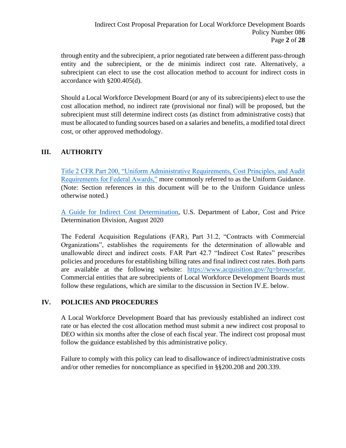through entity and the subrecipient, a prior negotiated rate between a different pass-through entity and the subrecipient, or the de minimis indirect cost rate. Alternatively, a subrecipient can elect to use the cost allocation method to account for indirect costs in accordance with §200.405(d).

Should a Local Workforce Development Board (or any of its subrecipients) elect to use the cost allocation method, no indirect rate (provisional nor final) will be proposed, but the subrecipient must still determine indirect costs (as distinct from administrative costs) that must be allocated to funding sources based on a salaries and benefits, a modified total direct cost, or other approved methodology.

# **III. AUTHORITY**

[Title 2 CFR Part 200, "Uniform Administrative Requirements, Cost Principles, and Audit](https://ecfr.federalregister.gov/current/title-2/subtitle-A/chapter-II/part-200)  [Requirements for Federal Awards,"](https://ecfr.federalregister.gov/current/title-2/subtitle-A/chapter-II/part-200) more commonly referred to as the Uniform Guidance. (Note: Section references in this document will be to the Uniform Guidance unless otherwise noted.)

[A Guide for Indirect Cost Determination,](http://www.dol.gov/oasam/boc/DCD-2-CFR-Guid-Jan2015.pdf) U.S. Department of Labor, Cost and Price Determination Division, August 2020

The Federal Acquisition Regulations (FAR), Part 31.2, "Contracts with Commercial Organizations", establishes the requirements for the determination of allowable and unallowable direct and indirect costs. FAR Part 42.7 "Indirect Cost Rates" prescribes policies and procedures for establishing billing rates and final indirect cost rates. Both parts are available at the following website: [https://www.acquisition.gov/?q=browsefar.](https://www.acquisition.gov/?q=browsefar)  Commercial entities that are subrecipients of Local Workforce Development Boards must follow these regulations, which are similar to the discussion in Section IV.E. below.

#### **IV. POLICIES AND PROCEDURES**

A Local Workforce Development Board that has previously established an indirect cost rate or has elected the cost allocation method must submit a new indirect cost proposal to DEO within six months after the close of each fiscal year. The indirect cost proposal must follow the guidance established by this administrative policy.

Failure to comply with this policy can lead to disallowance of indirect/administrative costs and/or other remedies for noncompliance as specified in §§200.208 and 200.339.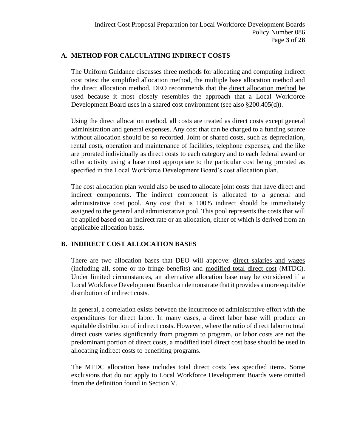### **A. METHOD FOR CALCULATING INDIRECT COSTS**

The Uniform Guidance discusses three methods for allocating and computing indirect cost rates: the simplified allocation method, the multiple base allocation method and the direct allocation method. DEO recommends that the direct allocation method be used because it most closely resembles the approach that a Local Workforce Development Board uses in a shared cost environment (see also §200.405(d)).

Using the direct allocation method, all costs are treated as direct costs except general administration and general expenses. Any cost that can be charged to a funding source without allocation should be so recorded. Joint or shared costs, such as depreciation, rental costs, operation and maintenance of facilities, telephone expenses, and the like are prorated individually as direct costs to each category and to each federal award or other activity using a base most appropriate to the particular cost being prorated as specified in the Local Workforce Development Board's cost allocation plan.

The cost allocation plan would also be used to allocate joint costs that have direct and indirect components. The indirect component is allocated to a general and administrative cost pool. Any cost that is 100% indirect should be immediately assigned to the general and administrative pool. This pool represents the costs that will be applied based on an indirect rate or an allocation, either of which is derived from an applicable allocation basis.

# **B. INDIRECT COST ALLOCATION BASES**

There are two allocation bases that DEO will approve: direct salaries and wages (including all, some or no fringe benefits) and modified total direct cost (MTDC). Under limited circumstances, an alternative allocation base may be considered if a Local Workforce Development Board can demonstrate that it provides a more equitable distribution of indirect costs.

In general, a correlation exists between the incurrence of administrative effort with the expenditures for direct labor. In many cases, a direct labor base will produce an equitable distribution of indirect costs. However, where the ratio of direct labor to total direct costs varies significantly from program to program, or labor costs are not the predominant portion of direct costs, a modified total direct cost base should be used in allocating indirect costs to benefiting programs.

The MTDC allocation base includes total direct costs less specified items. Some exclusions that do not apply to Local Workforce Development Boards were omitted from the definition found in Section V.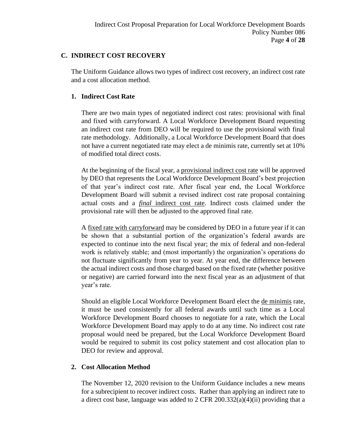# **C. INDIRECT COST RECOVERY**

The Uniform Guidance allows two types of indirect cost recovery, an indirect cost rate and a cost allocation method.

# **1. Indirect Cost Rate**

There are two main types of negotiated indirect cost rates: provisional with final and fixed with carryforward. A Local Workforce Development Board requesting an indirect cost rate from DEO will be required to use the provisional with final rate methodology. Additionally, a Local Workforce Development Board that does not have a current negotiated rate may elect a de minimis rate, currently set at 10% of modified total direct costs.

At the beginning of the fiscal year, a provisional indirect cost rate will be approved by DEO that represents the Local Workforce Development Board's best projection of that year's indirect cost rate. After fiscal year end, the Local Workforce Development Board will submit a revised indirect cost rate proposal containing actual costs and a *final* indirect cost rate. Indirect costs claimed under the provisional rate will then be adjusted to the approved final rate.

A fixed rate with carryforward may be considered by DEO in a future year if it can be shown that a substantial portion of the organization's federal awards are expected to continue into the next fiscal year; the mix of federal and non-federal work is relatively stable; and (most importantly) the organization's operations do not fluctuate significantly from year to year. At year end, the difference between the actual indirect costs and those charged based on the fixed rate (whether positive or negative) are carried forward into the next fiscal year as an adjustment of that year's rate.

Should an eligible Local Workforce Development Board elect the de minimis rate, it must be used consistently for all federal awards until such time as a Local Workforce Development Board chooses to negotiate for a rate, which the Local Workforce Development Board may apply to do at any time. No indirect cost rate proposal would need be prepared, but the Local Workforce Development Board would be required to submit its cost policy statement and cost allocation plan to DEO for review and approval.

#### **2. Cost Allocation Method**

The November 12, 2020 revision to the Uniform Guidance includes a new means for a subrecipient to recover indirect costs. Rather than applying an indirect rate to a direct cost base, language was added to 2 CFR 200.332(a)(4)(ii) providing that a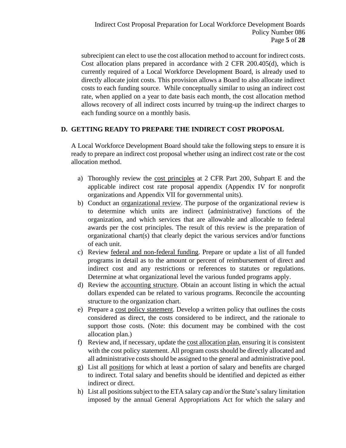subrecipient can elect to use the cost allocation method to account for indirect costs. Cost allocation plans prepared in accordance with 2 CFR 200.405(d), which is currently required of a Local Workforce Development Board, is already used to directly allocate joint costs. This provision allows a Board to also allocate indirect costs to each funding source. While conceptually similar to using an indirect cost rate, when applied on a year to date basis each month, the cost allocation method allows recovery of all indirect costs incurred by truing-up the indirect charges to each funding source on a monthly basis.

# **D. GETTING READY TO PREPARE THE INDIRECT COST PROPOSAL**

A Local Workforce Development Board should take the following steps to ensure it is ready to prepare an indirect cost proposal whether using an indirect cost rate or the cost allocation method.

- a) Thoroughly review the cost principles at 2 CFR Part 200, Subpart E and the applicable indirect cost rate proposal appendix (Appendix IV for nonprofit organizations and Appendix VII for governmental units).
- b) Conduct an organizational review. The purpose of the organizational review is to determine which units are indirect (administrative) functions of the organization, and which services that are allowable and allocable to federal awards per the cost principles. The result of this review is the preparation of organizational chart(s) that clearly depict the various services and/or functions of each unit.
- c) Review federal and non-federal funding. Prepare or update a list of all funded programs in detail as to the amount or percent of reimbursement of direct and indirect cost and any restrictions or references to statutes or regulations. Determine at what organizational level the various funded programs apply.
- d) Review the accounting structure. Obtain an account listing in which the actual dollars expended can be related to various programs. Reconcile the accounting structure to the organization chart.
- e) Prepare a cost policy statement. Develop a written policy that outlines the costs considered as direct, the costs considered to be indirect, and the rationale to support those costs. (Note: this document may be combined with the cost allocation plan.)
- f) Review and, if necessary, update the cost allocation plan, ensuring it is consistent with the cost policy statement. All program costs should be directly allocated and all administrative costs should be assigned to the general and administrative pool.
- g) List all positions for which at least a portion of salary and benefits are charged to indirect. Total salary and benefits should be identified and depicted as either indirect or direct.
- h) List all positions subject to the ETA salary cap and/or the State's salary limitation imposed by the annual General Appropriations Act for which the salary and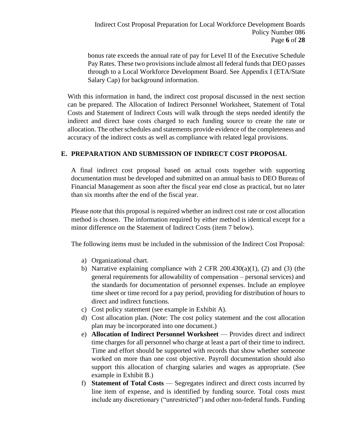bonus rate exceeds the annual rate of pay for Level II of the Executive Schedule Pay Rates. These two provisions include almost all federal funds that DEO passes through to a Local Workforce Development Board. See Appendix I (ETA/State Salary Cap) for background information.

With this information in hand, the indirect cost proposal discussed in the next section can be prepared. The Allocation of Indirect Personnel Worksheet, Statement of Total Costs and Statement of Indirect Costs will walk through the steps needed identify the indirect and direct base costs charged to each funding source to create the rate or allocation. The other schedules and statements provide evidence of the completeness and accuracy of the indirect costs as well as compliance with related legal provisions.

# **E. PREPARATION AND SUBMISSION OF INDIRECT COST PROPOSAL**

A final indirect cost proposal based on actual costs together with supporting documentation must be developed and submitted on an annual basis to DEO Bureau of Financial Management as soon after the fiscal year end close as practical, but no later than six months after the end of the fiscal year.

Please note that this proposal is required whether an indirect cost rate or cost allocation method is chosen. The information required by either method is identical except for a minor difference on the Statement of Indirect Costs (item 7 below).

The following items must be included in the submission of the Indirect Cost Proposal:

- a) Organizational chart.
- b) Narrative explaining compliance with  $2$  CFR  $200.430(a)(1)$ ,  $(2)$  and  $(3)$  (the general requirements for allowability of compensation – personal services) and the standards for documentation of personnel expenses. Include an employee time sheet or time record for a pay period, providing for distribution of hours to direct and indirect functions.
- c) Cost policy statement (see example in Exhibit A).
- d) Cost allocation plan. (Note: The cost policy statement and the cost allocation plan may be incorporated into one document.)
- e) **Allocation of Indirect Personnel Worksheet** Provides direct and indirect time charges for all personnel who charge at least a part of their time to indirect. Time and effort should be supported with records that show whether someone worked on more than one cost objective. Payroll documentation should also support this allocation of charging salaries and wages as appropriate. (See example in Exhibit B.)
- f) **Statement of Total Costs** Segregates indirect and direct costs incurred by line item of expense, and is identified by funding source. Total costs must include any discretionary ("unrestricted") and other non-federal funds. Funding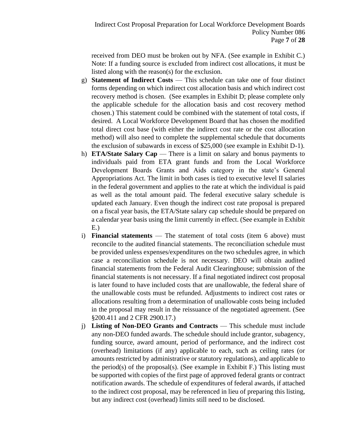received from DEO must be broken out by NFA. (See example in Exhibit C.) Note: If a funding source is excluded from indirect cost allocations, it must be listed along with the reason(s) for the exclusion.

- g) **Statement of Indirect Costs** This schedule can take one of four distinct forms depending on which indirect cost allocation basis and which indirect cost recovery method is chosen. (See examples in Exhibit D; please complete only the applicable schedule for the allocation basis and cost recovery method chosen.) This statement could be combined with the statement of total costs, if desired. A Local Workforce Development Board that has chosen the modified total direct cost base (with either the indirect cost rate or the cost allocation method) will also need to complete the supplemental schedule that documents the exclusion of subawards in excess of \$25,000 (see example in Exhibit D-1).
- h) **ETA/State Salary Cap** There is a limit on salary and bonus payments to individuals paid from ETA grant funds and from the Local Workforce Development Boards Grants and Aids category in the state's General Appropriations Act. The limit in both cases is tied to executive level II salaries in the federal government and applies to the rate at which the individual is paid as well as the total amount paid. The federal executive salary schedule is updated each January. Even though the indirect cost rate proposal is prepared on a fiscal year basis, the ETA/State salary cap schedule should be prepared on a calendar year basis using the limit currently in effect. (See example in Exhibit E.)
- i) **Financial statements** The statement of total costs (item 6 above) must reconcile to the audited financial statements. The reconciliation schedule must be provided unless expenses/expenditures on the two schedules agree, in which case a reconciliation schedule is not necessary. DEO will obtain audited financial statements from the Federal Audit Clearinghouse; submission of the financial statements is not necessary. If a final negotiated indirect cost proposal is later found to have included costs that are unallowable, the federal share of the unallowable costs must be refunded. Adjustments to indirect cost rates or allocations resulting from a determination of unallowable costs being included in the proposal may result in the reissuance of the negotiated agreement. (See §200.411 and 2 CFR 2900.17.)
- j) **Listing of Non-DEO Grants and Contracts** This schedule must include any non-DEO funded awards. The schedule should include grantor, subagency, funding source, award amount, period of performance, and the indirect cost (overhead) limitations (if any) applicable to each, such as ceiling rates (or amounts restricted by administrative or statutory regulations), and applicable to the period(s) of the proposal(s). (See example in Exhibit F.) This listing must be supported with copies of the first page of approved federal grants or contract notification awards. The schedule of expenditures of federal awards, if attached to the indirect cost proposal, may be referenced in lieu of preparing this listing, but any indirect cost (overhead) limits still need to be disclosed.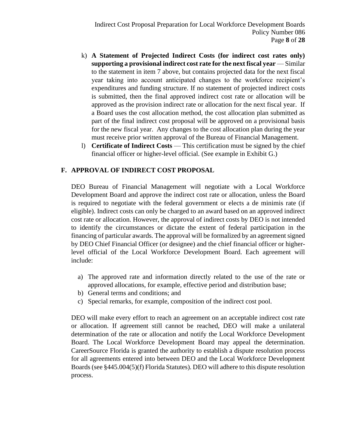- k) **A Statement of Projected Indirect Costs (for indirect cost rates only) supporting a provisional indirect cost rate for the next fiscal year** — Similar to the statement in item 7 above, but contains projected data for the next fiscal year taking into account anticipated changes to the workforce recipient's expenditures and funding structure. If no statement of projected indirect costs is submitted, then the final approved indirect cost rate or allocation will be approved as the provision indirect rate or allocation for the next fiscal year. If a Board uses the cost allocation method, the cost allocation plan submitted as part of the final indirect cost proposal will be approved on a provisional basis for the new fiscal year. Any changes to the cost allocation plan during the year must receive prior written approval of the Bureau of Financial Management.
- l) **Certificate of Indirect Costs** This certification must be signed by the chief financial officer or higher-level official. (See example in Exhibit G.)

# **F. APPROVAL OF INDIRECT COST PROPOSAL**

DEO Bureau of Financial Management will negotiate with a Local Workforce Development Board and approve the indirect cost rate or allocation, unless the Board is required to negotiate with the federal government or elects a de minimis rate (if eligible). Indirect costs can only be charged to an award based on an approved indirect cost rate or allocation. However, the approval of indirect costs by DEO is not intended to identify the circumstances or dictate the extent of federal participation in the financing of particular awards. The approval will be formalized by an agreement signed by DEO Chief Financial Officer (or designee) and the chief financial officer or higherlevel official of the Local Workforce Development Board. Each agreement will include:

- a) The approved rate and information directly related to the use of the rate or approved allocations, for example, effective period and distribution base;
- b) General terms and conditions; and
- c) Special remarks, for example, composition of the indirect cost pool.

DEO will make every effort to reach an agreement on an acceptable indirect cost rate or allocation. If agreement still cannot be reached, DEO will make a unilateral determination of the rate or allocation and notify the Local Workforce Development Board. The Local Workforce Development Board may appeal the determination. CareerSource Florida is granted the authority to establish a dispute resolution process for all agreements entered into between DEO and the Local Workforce Development Boards (see §445.004(5)(f) Florida Statutes). DEO will adhere to this dispute resolution process.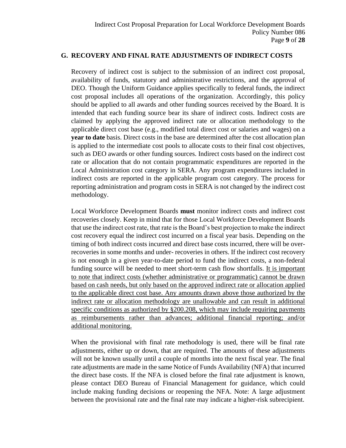#### **G. RECOVERY AND FINAL RATE ADJUSTMENTS OF INDIRECT COSTS**

Recovery of indirect cost is subject to the submission of an indirect cost proposal, availability of funds, statutory and administrative restrictions, and the approval of DEO. Though the Uniform Guidance applies specifically to federal funds, the indirect cost proposal includes all operations of the organization. Accordingly, this policy should be applied to all awards and other funding sources received by the Board. It is intended that each funding source bear its share of indirect costs. Indirect costs are claimed by applying the approved indirect rate or allocation methodology to the applicable direct cost base (e.g., modified total direct cost or salaries and wages) on a **year to date** basis. Direct costs in the base are determined after the cost allocation plan is applied to the intermediate cost pools to allocate costs to their final cost objectives, such as DEO awards or other funding sources. Indirect costs based on the indirect cost rate or allocation that do not contain programmatic expenditures are reported in the Local Administration cost category in SERA. Any program expenditures included in indirect costs are reported in the applicable program cost category. The process for reporting administration and program costs in SERA is not changed by the indirect cost methodology.

Local Workforce Development Boards **must** monitor indirect costs and indirect cost recoveries closely. Keep in mind that for those Local Workforce Development Boards that use the indirect cost rate, that rate is the Board's best projection to make the indirect cost recovery equal the indirect cost incurred on a fiscal year basis. Depending on the timing of both indirect costs incurred and direct base costs incurred, there will be overrecoveries in some months and under- recoveries in others. If the indirect cost recovery is not enough in a given year-to-date period to fund the indirect costs, a non-federal funding source will be needed to meet short-term cash flow shortfalls. It is important to note that indirect costs (whether administrative or programmatic) cannot be drawn based on cash needs, but only based on the approved indirect rate or allocation applied to the applicable direct cost base. Any amounts drawn above those authorized by the indirect rate or allocation methodology are unallowable and can result in additional specific conditions as authorized by §200.208, which may include requiring payments as reimbursements rather than advances; additional financial reporting; and/or additional monitoring.

When the provisional with final rate methodology is used, there will be final rate adjustments, either up or down, that are required. The amounts of these adjustments will not be known usually until a couple of months into the next fiscal year. The final rate adjustments are made in the same Notice of Funds Availability (NFA) that incurred the direct base costs. If the NFA is closed before the final rate adjustment is known, please contact DEO Bureau of Financial Management for guidance, which could include making funding decisions or reopening the NFA. Note: A large adjustment between the provisional rate and the final rate may indicate a higher-risk subrecipient.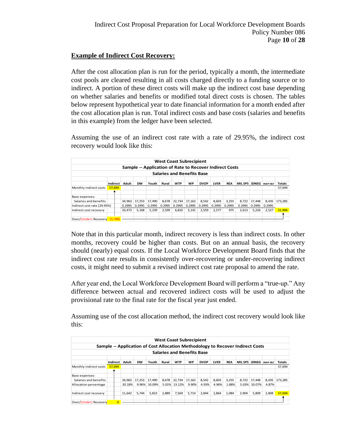### **Example of Indirect Cost Recovery:**

After the cost allocation plan is run for the period, typically a month, the intermediate cost pools are cleared resulting in all costs charged directly to a funding source or to indirect. A portion of these direct costs will make up the indirect cost base depending on whether salaries and benefits or modified total direct costs is chosen. The tables below represent hypothetical year to date financial information for a month ended after the cost allocation plan is run. Total indirect costs and base costs (salaries and benefits in this example) from the ledger have been selected.

Assuming the use of an indirect cost rate with a rate of 29.95%, the indirect cost recovery would look like this:

|                             |          |         |        |           |                                                         |        | <b>West Coast Subrecipient</b>    |           |             |             |            |                             |        |        |               |
|-----------------------------|----------|---------|--------|-----------|---------------------------------------------------------|--------|-----------------------------------|-----------|-------------|-------------|------------|-----------------------------|--------|--------|---------------|
|                             |          |         |        |           | Sample -- Application of Rate to Recover Indirect Costs |        |                                   |           |             |             |            |                             |        |        |               |
|                             |          |         |        |           |                                                         |        | <b>Salaries and Benefits Base</b> |           |             |             |            |                             |        |        |               |
|                             | Indirect |         | Adult  | <b>DW</b> | Youth                                                   | Rural  | <b>WTP</b>                        | <b>WP</b> | <b>DVOP</b> | <b>LVER</b> | <b>REA</b> | <b>MILSPS JDNEG</b> SNAPERT |        |        | <b>Totals</b> |
| Monthly indirect costs      | 57.694   |         |        |           |                                                         |        |                                   |           |             |             |            |                             |        |        | 57,694        |
| Base expenses:              |          |         |        |           |                                                         |        |                                   |           |             |             |            |                             |        |        |               |
| Salaries and benefits       |          |         | 34.963 | 17.253    | 17.490                                                  | 8.678  | 22,734                            | 17,162    | 8,542       | 8,603       | 3,255      | 8,722                       | 17,448 | 8.435  | 173.285       |
| Indirect cost rate (29.95%) |          |         | 0.2995 | 0.2995    | 0.2995                                                  | 0.2995 | 0.2995                            | 0.2995    | 0.2995      | 0.2995      | 0.2995     | 0.2995                      | 0.2995 | 0.2995 |               |
| Indirect cost recovery      |          |         | 10.473 | 5.168     | 5.239                                                   | 2,599  | 6,810                             | 5.141     | 2,559       | 2.577       | 975        | 2,613                       | 5.226  | 2,527  | 51,906        |
|                             |          |         |        |           |                                                         |        |                                   |           |             |             |            |                             |        |        |               |
| Over/(Under) Recovery       |          | (5,788) |        |           |                                                         |        |                                   |           |             |             |            |                             |        |        |               |

Note that in this particular month, indirect recovery is less than indirect costs. In other months, recovery could be higher than costs. But on an annual basis, the recovery should (nearly) equal costs. If the Local Workforce Development Board finds that the indirect cost rate results in consistently over-recovering or under-recovering indirect costs, it might need to submit a revised indirect cost rate proposal to amend the rate.

After year end, the Local Workforce Development Board will perform a "true-up." Any difference between actual and recovered indirect costs will be used to adjust the provisional rate to the final rate for the fiscal year just ended.

Assuming use of the cost allocation method, the indirect cost recovery would look like this:

|                        |                |        |           |        |       |            | <b>West Coast Subrecipient</b>    |             |             |            |                                                                                |              |                     |         |
|------------------------|----------------|--------|-----------|--------|-------|------------|-----------------------------------|-------------|-------------|------------|--------------------------------------------------------------------------------|--------------|---------------------|---------|
|                        |                |        |           |        |       |            |                                   |             |             |            | Sample -- Application of Cost Allocation Methodology to Recover Indirect Costs |              |                     |         |
|                        |                |        |           |        |       |            | <b>Salaries and Benefits Base</b> |             |             |            |                                                                                |              |                     |         |
|                        | Indirect       | Adult  | <b>DW</b> | Youth  | Rural | <b>WTP</b> | <b>WP</b>                         | <b>DVOP</b> | <b>LVER</b> | <b>REA</b> | <b>MILSPS</b>                                                                  | <b>JDNEG</b> | <b>SNAP E&amp;T</b> | Totals  |
| Monthly indirect costs | 57.694         |        |           |        |       |            |                                   |             |             |            |                                                                                |              |                     | 57.694  |
| Base expenses:         |                |        |           |        |       |            |                                   |             |             |            |                                                                                |              |                     |         |
| Salaries and benefits  |                | 34.963 | 17.253    | 17.490 | 8.678 | 22,734     | 17.162                            | 8,542       | 8.603       | 3.255      | 8.722                                                                          | 17.448       | 8,435               | 173.285 |
| Allocation percentage  |                | 20.18% | 9.96%     | 10.09% | 5.01% | 13.12%     | 9.90%                             | 4.93%       | 4.96%       | 1.88%      | 5.03%                                                                          | 10.07%       | 4.87%               |         |
| Indirect cost recovery |                | 11.642 | 5.744     | 5.823  | 2.889 | 7,569      | 5.714                             | 2.844       | 2.864       | 1.084      | 2.904                                                                          | 5.809        | 2.808               | 57,694  |
| Over/(Under) Recovery  | $\overline{0}$ |        |           |        |       |            |                                   |             |             |            |                                                                                |              |                     |         |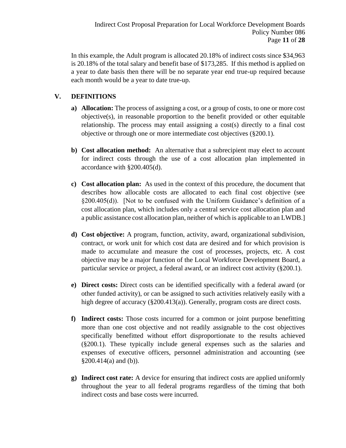In this example, the Adult program is allocated 20.18% of indirect costs since \$34,963 is 20.18% of the total salary and benefit base of \$173,285. If this method is applied on a year to date basis then there will be no separate year end true-up required because each month would be a year to date true-up.

# **V. DEFINITIONS**

- **a) Allocation:** The process of assigning a cost, or a group of costs, to one or more cost objective(s), in reasonable proportion to the benefit provided or other equitable relationship. The process may entail assigning a cost(s) directly to a final cost objective or through one or more intermediate cost objectives (§200.1).
- **b) Cost allocation method:** An alternative that a subrecipient may elect to account for indirect costs through the use of a cost allocation plan implemented in accordance with §200.405(d).
- **c) Cost allocation plan:** As used in the context of this procedure, the document that describes how allocable costs are allocated to each final cost objective (see §200.405(d)). [Not to be confused with the Uniform Guidance's definition of a cost allocation plan, which includes only a central service cost allocation plan and a public assistance cost allocation plan, neither of which is applicable to an LWDB.]
- **d) Cost objective:** A program, function, activity, award, organizational subdivision, contract, or work unit for which cost data are desired and for which provision is made to accumulate and measure the cost of processes, projects, etc. A cost objective may be a major function of the Local Workforce Development Board, a particular service or project, a federal award, or an indirect cost activity (§200.1).
- **e) Direct costs:** Direct costs can be identified specifically with a federal award (or other funded activity), or can be assigned to such activities relatively easily with a high degree of accuracy (§200.413(a)). Generally, program costs are direct costs.
- **f) Indirect costs:** Those costs incurred for a common or joint purpose benefitting more than one cost objective and not readily assignable to the cost objectives specifically benefitted without effort disproportionate to the results achieved (§200.1). These typically include general expenses such as the salaries and expenses of executive officers, personnel administration and accounting (see  $§200.414(a)$  and (b)).
- **g) Indirect cost rate:** A device for ensuring that indirect costs are applied uniformly throughout the year to all federal programs regardless of the timing that both indirect costs and base costs were incurred.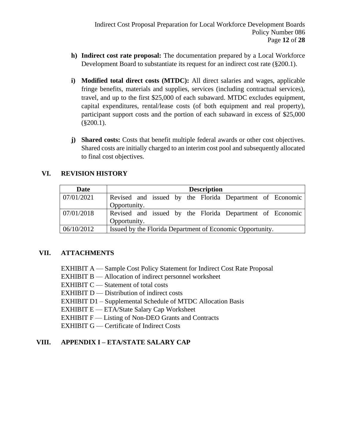- **h) Indirect cost rate proposal:** The documentation prepared by a Local Workforce Development Board to substantiate its request for an indirect cost rate (§200.1).
- **i) Modified total direct costs (MTDC):** All direct salaries and wages, applicable fringe benefits, materials and supplies, services (including contractual services), travel, and up to the first \$25,000 of each subaward. MTDC excludes equipment, capital expenditures, rental/lease costs (of both equipment and real property), participant support costs and the portion of each subaward in excess of \$25,000 (§200.1).
- **j) Shared costs:** Costs that benefit multiple federal awards or other cost objectives. Shared costs are initially charged to an interim cost pool and subsequently allocated to final cost objectives.

# **VI. REVISION HISTORY**

| Date       |              |  |  | <b>Description</b> |                                                           |  |
|------------|--------------|--|--|--------------------|-----------------------------------------------------------|--|
| 07/01/2021 |              |  |  |                    | Revised and issued by the Florida Department of Economic  |  |
|            | Opportunity. |  |  |                    |                                                           |  |
| 07/01/2018 |              |  |  |                    | Revised and issued by the Florida Department of Economic  |  |
|            | Opportunity. |  |  |                    |                                                           |  |
| 06/10/2012 |              |  |  |                    | Issued by the Florida Department of Economic Opportunity. |  |

#### **VII. ATTACHMENTS**

- EXHIBIT A Sample Cost Policy Statement for Indirect Cost Rate Proposal
- EXHIBIT B Allocation of indirect personnel worksheet
- EXHIBIT  $C$  Statement of total costs
- EXHIBIT D Distribution of indirect costs
- EXHIBIT D1 Supplemental Schedule of MTDC Allocation Basis
- EXHIBIT E ETA/State Salary Cap Worksheet
- EXHIBIT F Listing of Non-DEO Grants and Contracts
- EXHIBIT G Certificate of Indirect Costs

# **VIII. APPENDIX I – ETA/STATE SALARY CAP**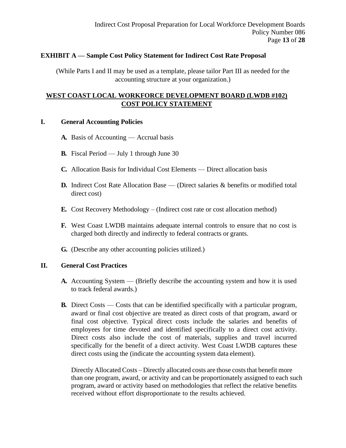#### **EXHIBIT A — Sample Cost Policy Statement for Indirect Cost Rate Proposal**

(While Parts I and II may be used as a template, please tailor Part III as needed for the accounting structure at your organization.)

### **WEST COAST LOCAL WORKFORCE DEVELOPMENT BOARD (LWDB #102) COST POLICY STATEMENT**

#### **I. General Accounting Policies**

- **A.** Basis of Accounting Accrual basis
- **B.** Fiscal Period July 1 through June 30
- **C.** Allocation Basis for Individual Cost Elements Direct allocation basis
- **D.** Indirect Cost Rate Allocation Base (Direct salaries & benefits or modified total direct cost)
- **E.** Cost Recovery Methodology (Indirect cost rate or cost allocation method)
- **F.** West Coast LWDB maintains adequate internal controls to ensure that no cost is charged both directly and indirectly to federal contracts or grants.
- **G.** (Describe any other accounting policies utilized.)

#### **II. General Cost Practices**

- **A.** Accounting System (Briefly describe the accounting system and how it is used to track federal awards.)
- **B.** Direct Costs Costs that can be identified specifically with a particular program, award or final cost objective are treated as direct costs of that program, award or final cost objective. Typical direct costs include the salaries and benefits of employees for time devoted and identified specifically to a direct cost activity. Direct costs also include the cost of materials, supplies and travel incurred specifically for the benefit of a direct activity. West Coast LWDB captures these direct costs using the (indicate the accounting system data element).

Directly Allocated Costs – Directly allocated costs are those costs that benefit more than one program, award, or activity and can be proportionately assigned to each such program, award or activity based on methodologies that reflect the relative benefits received without effort disproportionate to the results achieved.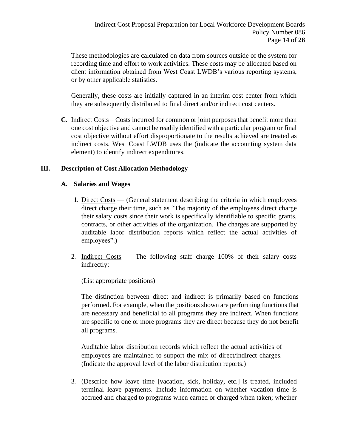These methodologies are calculated on data from sources outside of the system for recording time and effort to work activities. These costs may be allocated based on client information obtained from West Coast LWDB's various reporting systems, or by other applicable statistics.

Generally, these costs are initially captured in an interim cost center from which they are subsequently distributed to final direct and/or indirect cost centers.

**C.** Indirect Costs – Costs incurred for common or joint purposes that benefit more than one cost objective and cannot be readily identified with a particular program or final cost objective without effort disproportionate to the results achieved are treated as indirect costs. West Coast LWDB uses the (indicate the accounting system data element) to identify indirect expenditures.

#### **III. Description of Cost Allocation Methodology**

#### **A. Salaries and Wages**

- 1. Direct Costs (General statement describing the criteria in which employees direct charge their time, such as "The majority of the employees direct charge their salary costs since their work is specifically identifiable to specific grants, contracts, or other activities of the organization. The charges are supported by auditable labor distribution reports which reflect the actual activities of employees".)
- 2. Indirect Costs The following staff charge 100% of their salary costs indirectly:

(List appropriate positions)

The distinction between direct and indirect is primarily based on functions performed. For example, when the positions shown are performing functions that are necessary and beneficial to all programs they are indirect. When functions are specific to one or more programs they are direct because they do not benefit all programs.

Auditable labor distribution records which reflect the actual activities of employees are maintained to support the mix of direct/indirect charges. (Indicate the approval level of the labor distribution reports.)

3. (Describe how leave time [vacation, sick, holiday, etc.] is treated, included terminal leave payments. Include information on whether vacation time is accrued and charged to programs when earned or charged when taken; whether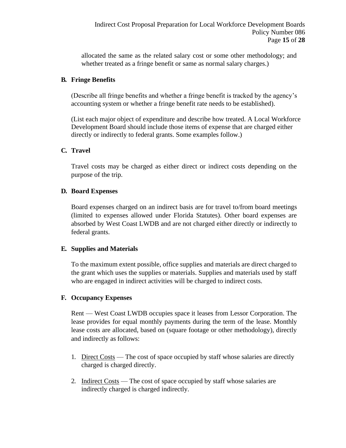allocated the same as the related salary cost or some other methodology; and whether treated as a fringe benefit or same as normal salary charges.)

## **B. Fringe Benefits**

(Describe all fringe benefits and whether a fringe benefit is tracked by the agency's accounting system or whether a fringe benefit rate needs to be established).

(List each major object of expenditure and describe how treated. A Local Workforce Development Board should include those items of expense that are charged either directly or indirectly to federal grants. Some examples follow.)

# **C. Travel**

Travel costs may be charged as either direct or indirect costs depending on the purpose of the trip.

#### **D. Board Expenses**

Board expenses charged on an indirect basis are for travel to/from board meetings (limited to expenses allowed under Florida Statutes). Other board expenses are absorbed by West Coast LWDB and are not charged either directly or indirectly to federal grants.

#### **E. Supplies and Materials**

To the maximum extent possible, office supplies and materials are direct charged to the grant which uses the supplies or materials. Supplies and materials used by staff who are engaged in indirect activities will be charged to indirect costs.

#### **F. Occupancy Expenses**

Rent — West Coast LWDB occupies space it leases from Lessor Corporation. The lease provides for equal monthly payments during the term of the lease. Monthly lease costs are allocated, based on (square footage or other methodology), directly and indirectly as follows:

- 1. Direct Costs The cost of space occupied by staff whose salaries are directly charged is charged directly.
- 2. Indirect Costs The cost of space occupied by staff whose salaries are indirectly charged is charged indirectly.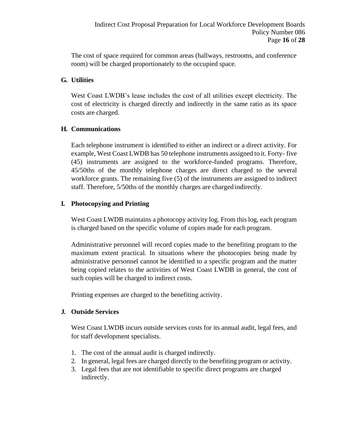The cost of space required for common areas (hallways, restrooms, and conference room) will be charged proportionately to the occupied space.

#### **G. Utilities**

West Coast LWDB's lease includes the cost of all utilities except electricity. The cost of electricity is charged directly and indirectly in the same ratio as its space costs are charged.

# **H. Communications**

Each telephone instrument is identified to either an indirect or a direct activity. For example, West Coast LWDB has 50 telephone instruments assigned to it. Forty- five (45) instruments are assigned to the workforce-funded programs. Therefore, 45/50ths of the monthly telephone charges are direct charged to the several workforce grants. The remaining five (5) of the instruments are assigned to indirect staff. Therefore, 5/50ths of the monthly charges are charged indirectly.

# **I. Photocopying and Printing**

West Coast LWDB maintains a photocopy activity log. From this log, each program is charged based on the specific volume of copies made for each program.

Administrative personnel will record copies made to the benefiting program to the maximum extent practical. In situations where the photocopies being made by administrative personnel cannot be identified to a specific program and the matter being copied relates to the activities of West Coast LWDB in general, the cost of such copies will be charged to indirect costs.

Printing expenses are charged to the benefiting activity.

#### **J. Outside Services**

West Coast LWDB incurs outside services costs for its annual audit, legal fees, and for staff development specialists.

- 1. The cost of the annual audit is charged indirectly.
- 2. In general, legal fees are charged directly to the benefiting program or activity.
- 3. Legal fees that are not identifiable to specific direct programs are charged indirectly.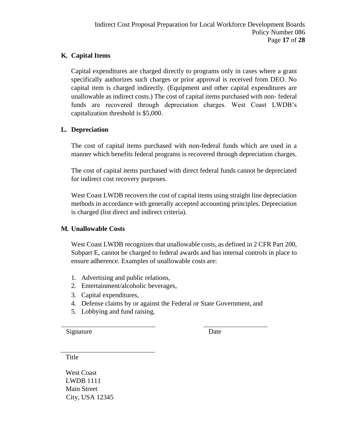# **K. Capital Items**

Capital expenditures are charged directly to programs only in cases where a grant specifically authorizes such charges or prior approval is received from DEO. No capital item is charged indirectly. (Equipment and other capital expenditures are unallowable as indirect costs.) The cost of capital items purchased with non- federal funds are recovered through depreciation charges. West Coast LWDB's capitalization threshold is \$5,000.

# **L. Depreciation**

The cost of capital items purchased with non-federal funds which are used in a manner which benefits federal programs is recovered through depreciation charges.

The cost of capital items purchased with direct federal funds cannot be depreciated for indirect cost recovery purposes.

West Coast LWDB recovers the cost of capital items using straight line depreciation methods in accordance with generally accepted accounting principles. Depreciation is charged (list direct and indirect criteria).

#### **M. Unallowable Costs**

West Coast LWDB recognizes that unallowable costs, as defined in 2 CFR Part 200, Subpart E, cannot be charged to federal awards and has internal controls in place to ensure adherence. Examples of unallowable costs are:

- 1. Advertising and public relations,
- 2. Entertainment/alcoholic beverages,
- 3. Capital expenditures,
- 4. Defense claims by or against the Federal or State Government, and
- 5. Lobbying and fund raising.

Signature Date

Title

West Coast LWDB 1111 Main Street City, USA 12345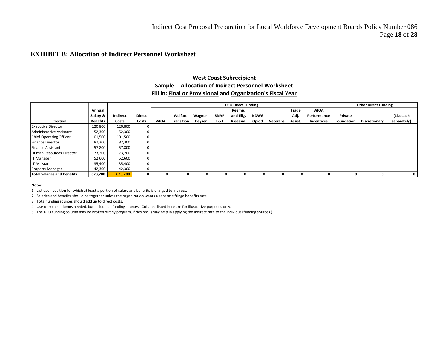#### **EXHIBIT B: Allocation of Indirect Personnel Worksheet**

#### **West Coast Subrecipient Sample -- Allocation of Indirect Personnel Worksheet Fill in: Final or Provisional and Organization's Fiscal Year**

|                                    |                 |          |        |             |                   |         |              | <b>DEO Direct Funding</b> |             |                 |         |             |                   | <b>Other Direct Funding</b> |             |
|------------------------------------|-----------------|----------|--------|-------------|-------------------|---------|--------------|---------------------------|-------------|-----------------|---------|-------------|-------------------|-----------------------------|-------------|
|                                    | Annual          |          |        |             |                   |         |              | Reemp.                    |             |                 | Trade   | <b>WIOA</b> |                   |                             |             |
|                                    | Salary &        | Indirect | Direct |             | Welfare           | Wagner- | <b>SNAP</b>  | and Elig.                 | <b>NDWG</b> |                 | Adj.    | Performance | Private           |                             | (List each  |
| Position                           | <b>Benefits</b> | Costs    | Costs  | <b>WIOA</b> | <b>Transition</b> | Peyser  | E&T          | Assessm.                  | Opiod       | <b>Veterans</b> | Assist. | Incentives  | <b>Foundation</b> | <b>Discretionary</b>        | separately) |
| <b>Executive Director</b>          | 120,800         | 120,800  | 0      |             |                   |         |              |                           |             |                 |         |             |                   |                             |             |
| Administrative Assistant           | 52,300          | 52,300   | 0      |             |                   |         |              |                           |             |                 |         |             |                   |                             |             |
| Chief Operating Officer            | 101,500         | 101,500  | 0      |             |                   |         |              |                           |             |                 |         |             |                   |                             |             |
| Finance Director                   | 87,300          | 87,300   | 0      |             |                   |         |              |                           |             |                 |         |             |                   |                             |             |
| Finance Assistant                  | 57,800          | 57,800   | 0      |             |                   |         |              |                           |             |                 |         |             |                   |                             |             |
| Human Resources Director           | 73,200          | 73,200   | 0      |             |                   |         |              |                           |             |                 |         |             |                   |                             |             |
| IT Manager                         | 52,600          | 52,600   | 0      |             |                   |         |              |                           |             |                 |         |             |                   |                             |             |
| IT Assistant                       | 35,400          | 35,400   | 0      |             |                   |         |              |                           |             |                 |         |             |                   |                             |             |
| <b>Property Manager</b>            | 42,300          | 42,300   | 0      |             |                   |         |              |                           |             |                 |         |             |                   |                             |             |
| <b>Total Salaries and Benefits</b> | 623,200         | 623,200  | 0      | 0           | 0                 | 0       | <sup>0</sup> | 0                         | 0           | <sup>0</sup>    | 0       | 0           |                   | 0                           | $\mathbf 0$ |

Notes:

1. List each position for which at least a portion of salary and benefits is charged to indirect.

2. Salaries and benefits should be together unless the organization wants a separate fringe benefits rate.

3. Total funding sources should add up to direct costs.

4. Use only the columns needed, but include all funding sources. Columns listed here are for illustrative purposes only.

5. The DEO funding column may be broken out by program, if desired. (May help in applying the indirect rate to the individual funding sources.)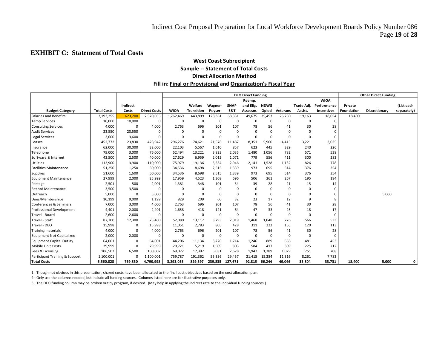### **EXHIBIT C: Statement of Total Costs**

#### **West Coast Subrecipient Sample -- Statement of Total Costs Direct Allocation Method Fill in: Final or Provisional and Organization's Fiscal Year**

|                                  |                    |          |                     | <b>DEO Direct Funding</b> |                   |             |             |             |             | <b>Other Direct Funding</b> |            |             |                   |               |             |
|----------------------------------|--------------------|----------|---------------------|---------------------------|-------------------|-------------|-------------|-------------|-------------|-----------------------------|------------|-------------|-------------------|---------------|-------------|
|                                  |                    |          |                     |                           |                   |             |             | Reemp.      |             |                             |            | <b>WIOA</b> |                   |               |             |
|                                  |                    | Indirect |                     |                           | Welfare           | Wagner-     | <b>SNAP</b> | and Elig.   | <b>NDWG</b> |                             | Trade Adj. | Performance | Private           |               | (List each  |
| <b>Budget Category</b>           | <b>Total Costs</b> | Costs    | <b>Direct Costs</b> | <b>WIOA</b>               | <b>Transition</b> | Peyser      | E&T         | Assessm.    | Opiod       | Veterans                    | Assist.    | Incentives  | <b>Foundation</b> | Discretionary | separately) |
| Salaries and Benefits            | 3,193,255          | 623,200  | 2,570,055           | 1,762,469                 | 443,899           | 128,361     | 68,331      | 49,675      | 35,453      | 26,250                      | 19,163     | 18,054      | 18,400            |               |             |
| <b>Temp Services</b>             | 10,000             | 10,000   | $\Omega$            | 0                         | 0                 | $\mathbf 0$ | $\Omega$    | 0           | $\mathbf 0$ | $\Omega$                    | 0          | $\Omega$    |                   |               |             |
| <b>Consulting Services</b>       | 4,000              | 0        | 4,000               | 2,763                     | 696               | 201         | 107         | 78          | 56          | 41                          | 30         | 28          |                   |               |             |
| <b>Audit Services</b>            | 23,550             | 23,550   | $\Omega$            | $\Omega$                  | $\mathbf 0$       | 0           | 0           | 0           | $\mathbf 0$ | 0                           | $\Omega$   | $\Omega$    |                   |               |             |
| Legal Services                   | 3,600              | 3,600    | $\Omega$            | $\Omega$                  | $\Omega$          | $\mathbf 0$ | $\Omega$    | 0           | $\Omega$    | $\Omega$                    | $\Omega$   | $\Omega$    |                   |               |             |
| Leases                           | 452,772            | 23,830   | 428,942             | 296,276                   | 74,621            | 21,578      | 11,487      | 8,351       | 5,960       | 4,413                       | 3,221      | 3,035       |                   |               |             |
| Insurance                        | 62,000             | 30,000   | 32,000              | 22,103                    | 5,567             | 1,610       | 857         | 623         | 445         | 329                         | 240        | 226         |                   |               |             |
| Telephone                        | 79,000             | 3,000    | 76,000              | 52,494                    | 13,221            | 3,823       | 2,035       | 1,480       | 1,056       | 782                         | 571        | 538         |                   |               |             |
| Software & Internet              | 42,500             | 2,500    | 40,000              | 27,629                    | 6,959             | 2,012       | 1,071       | 779         | 556         | 411                         | 300        | 283         |                   |               |             |
| <b>Utilities</b>                 | 113,900            | 3,900    | 110,000             | 75,979                    | 19,136            | 5,534       | 2,946       | 2,141       | 1,528       | 1,132                       | 826        | 778         |                   |               |             |
| <b>Facilities Maintenance</b>    | 51,250             | 1,250    | 50,000              | 34,536                    | 8,698             | 2,515       | 1,339       | 973         | 695         | 514                         | 376        | 354         |                   |               |             |
| <b>Supplies</b>                  | 51,600             | 1,600    | 50,000              | 34,536                    | 8,698             | 2,515       | 1,339       | 973         | 695         | 514                         | 376        | 354         |                   |               |             |
| Equipment Maintenance            | 27,999             | 2,000    | 25,999              | 17,959                    | 4,523             | 1,308       | 696         | 506         | 361         | 267                         | 195        | 184         |                   |               |             |
| Postage                          | 2,501              | 500      | 2,001               | 1,381                     | 348               | 101         | 54          | 39          | 28          | 21                          | 15         | 14          |                   |               |             |
| <b>Record Maintenance</b>        | 3,500              | 3,500    |                     | $\Omega$                  | $\Omega$          | 0           | $\Omega$    | 0           | 0           | $\Omega$                    | $\Omega$   | 0           |                   |               |             |
| Outreach                         | 5,000              | 0        | 5,000               | $\Omega$                  | $\Omega$          | $\mathbf 0$ | $\Omega$    | $\Omega$    | $\Omega$    | $\Omega$                    | $\Omega$   | 0           |                   | 5,000         |             |
| Dues/Memberships                 | 10,199             | 9,000    | 1,199               | 829                       | 209               | 60          | 32          | 23          | 17          | 12                          | 9          | 8           |                   |               |             |
| Conferences & Seminars           | 7,000              | 3,000    | 4,000               | 2,763                     | 696               | 201         | 107         | 78          | 56          | 41                          | 30         | 28          |                   |               |             |
| Professional Development         | 4,401              | 2,000    | 2,401               | 1,658                     | 418               | 121         | 64          | 47          | 33          | 25                          | 18         | 17          |                   |               |             |
| Travel - Board                   | 2,600              | 2,600    | $\Omega$            | 0                         | 0                 | 0           | $\Omega$    | $\Omega$    | $\Omega$    | $\mathbf 0$                 | $\Omega$   | $\mathbf 0$ |                   |               |             |
| Travel - Staff                   | 87,700             | 12,300   | 75,400              | 52,080                    | 13,117            | 3,793       | 2,019       | 1,468       | 1,048       | 776                         | 566        | 533         |                   |               |             |
| Travel - DEO                     | 15,998             | 0        | 15,998              | 11,051                    | 2,783             | 805         | 428         | 311         | 222         | 165                         | 120        | 113         |                   |               |             |
| Training materials               | 4,000              | 0        | 4,000               | 2,763                     | 696               | 201         | 107         | 78          | 56          | 41                          | 30         | 28          |                   |               |             |
| <b>Equipment Not Capitalized</b> | 2,000              | 2,000    | $\Omega$            | $\Omega$                  | $\mathbf 0$       | 0           | $\Omega$    | $\mathbf 0$ | $\mathbf 0$ | $\mathbf 0$                 | 0          | 0           |                   |               |             |
| Equipment Capital Outlay         | 64,001             | 0        | 64,001              | 44,206                    | 11,134            | 3,220       | 1,714       | 1,246       | 889         | 658                         | 481        | 453         |                   |               |             |
| Mobile Unit Costs                | 29,999             | 0        | 29,999              | 20,721                    | 5,219             | 1,509       | 803         | 584         | 417         | 309                         | 225        | 212         |                   |               |             |
| Fees & Licensing                 | 106,502            | 6,500    | 100,002             | 69,072                    | 17,397            | 5,031       | 2,678       | 1,947       | 1,389       | 1,029                       | 751        | 708         |                   |               |             |
| Participant Training & Support   | 1,100,001          | $\Omega$ | 1,100,001           | 759,787                   | 191,362           | 55,336      | 29,457      | 21,415      | 15,284      | 11,316                      | 8,261      | 7,783       |                   |               |             |
| <b>Total Costs</b>               | 5,560,828          | 769,830  | 4,790,998           | 3,293,055                 | 829,397           | 239,835     | 127,671     | 92,815      | 66,244      | 49,046                      | 35,804     | 33,731      | 18,400            | 5,000         | 0           |

1. Though not obvious in this presentation, shared costs have been allocated to the final cost objectives based on the cost allocation plan.

2. Only use the columns needed, but include all funding sources. Columns listed here are for illustrative purposes only.

3. The DEO funding column may be broken out by program, if desired. (May help in applying the indirect rate to the individual funding sources.)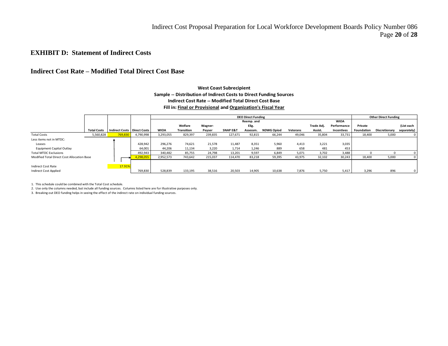#### **EXHIBIT D: Statement of Indirect Costs**

#### **Indirect Cost Rate – Modified Total Direct Cost Base**

#### **Total Costs Indirect Costs Direct Costs WIOA Welfare Transition Wagner-Peyser SNAP E&T Reemp. and Elig. Assessm. NDWG Opiod Veterans Trade Adj. Assist. WIOA Performance Incentives Private Foundation Discretionary (List each separately)** Total Costs 5,560,828 **769,830 4,7**90,998 3,293,055 829,397 239,835 127,671 92,815 66,244 49,046 35,804 33,731 18,400 5,000 0 Less items not in MTDC: Leases 428,942 296,276 74,621 21,578 11,487 8,351 5,960 4,413 3,221 3,035 Equipment Capital Outlay **64,001** 54,001 44,206 11,134 3,220 1,714 1,246 889 658 481 453<br>
1340,482 85,755 24,798 13,201 9,597 6,849 5,071 3,702 3,488 Total MTDC Exclusions 492,943 | 340,482 85,755 24,798 13,201 9,597 6,849 5,071 3,702 3,488 | 0 0 0 Modified Total Direct Cost Allocation Base **4,298,055** 2,952,573 743,642 215,037 114,470 83,218 59,395 43,975 32,102 30,243 18,400 5,000 0 Indirect Cost Rate 17.91 Indirect Cost Applied | 769,830 | 528,839 133,195 38,516 20,503 14,905 10,638 7,876 5,750 5,417 | 3,296 896 0 **Sample -- Distribution of Indirect Costs to Direct Funding Sources Indirect Cost Rate -- Modified Total Direct Cost Base Fill in: Final or Provisional and Organization's Fiscal Year DEO Direct Funding <b>Other Direct Funding Other Direct Funding Other Direct Funding**

**West Coast Subrecipient**

1. This schedule could be combined with the Total Cost schedule.

2. Use only the columns needed, but include all funding sources. Columns listed here are for illustrative purposes only.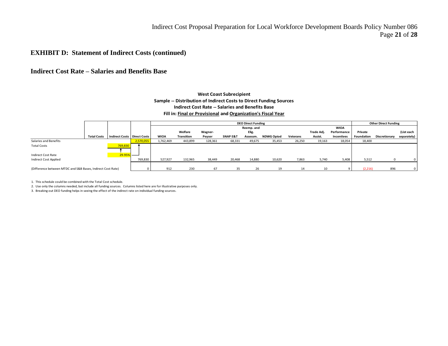Indirect Cost Proposal Preparation for Local Workforce Development Boards Policy Number 086 Page **21** of **28**

#### **EXHIBIT D: Statement of Indirect Costs (continued)**

#### **Indirect Cost Rate – Salaries and Benefits Base**

#### **Sample -- Distribution of Indirect Costs to Direct Funding Sources Indirect Cost Rate -- Salaries and Benefits Base Fill in: Final or Provisional and Organization's Fiscal Year West Coast Subrecipient**

|                                                             |                    |                                      |           |             |            |         |                     | <b>DEO Direct Funding</b> |                   |          |            |                   |            | <b>Other Direct Funding</b> |                |
|-------------------------------------------------------------|--------------------|--------------------------------------|-----------|-------------|------------|---------|---------------------|---------------------------|-------------------|----------|------------|-------------------|------------|-----------------------------|----------------|
|                                                             |                    |                                      |           |             |            |         |                     | Reemp. and                |                   |          |            | <b>WIOA</b>       |            |                             |                |
|                                                             |                    |                                      |           |             | Welfare    | Wagner- |                     | Elig.                     |                   |          | Trade Adj. | Performance       | Private    |                             | (List each     |
|                                                             | <b>Total Costs</b> | <b>Indirect Costs   Direct Costs</b> |           | <b>WIOA</b> | Transition | Peyser  | <b>SNAP E&amp;T</b> | Assessm.                  | <b>NDWG Opiod</b> | Veterans | Assist.    | <b>Incentives</b> | Foundation | Discretionary               | separately)    |
| Salaries and Benefits                                       |                    |                                      | 2,570,055 | 1,762,469   | 443,899    | 128,361 | 68,331              | 49,675                    | 35,453            | 26,250   | 19,163     | 18,054            | 18,400     |                             |                |
| <b>Total Costs</b>                                          |                    | 769,830                              |           |             |            |         |                     |                           |                   |          |            |                   |            |                             |                |
| Indirect Cost Rate                                          |                    | 29.95%                               |           |             |            |         |                     |                           |                   |          |            |                   |            |                             |                |
| <b>Indirect Cost Applied</b>                                |                    |                                      | 769,830   | 527,927     | 132,965    | 38,449  | 20,468              | 14,880                    | 10,620            | 7,863    | 5,740      | 5,408             | 5,512      |                             |                |
|                                                             |                    |                                      |           |             |            |         |                     |                           |                   |          |            |                   |            |                             |                |
| (Difference between MTDC and S&B Bases, Indirect Cost Rate) |                    |                                      |           | 912         | 230        | 67      | 35                  | 26                        | 19                |          | 10         |                   | (2, 216)   | 896                         | 0 <sup>1</sup> |

1. This schedule could be combined with the Total Cost schedule.

2. Use only the columns needed, but include all funding sources. Columns listed here are for illustrative purposes only.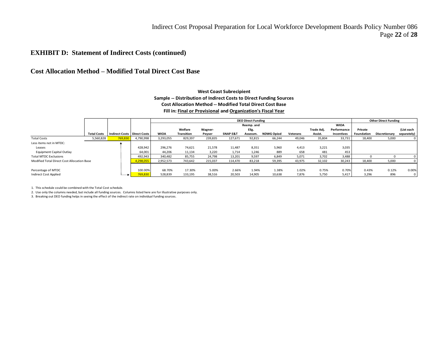#### **EXHIBIT D: Statement of Indirect Costs (continued)**

#### **Cost Allocation Method – Modified Total Direct Cost Base**

#### **West Coast Subrecipient Sample -- Distribution of Indirect Costs to Direct Funding Sources Cost Allocation Method -- Modified Total Direct Cost Base Fill in: Final or Provisional and Organization's Fiscal Year**

|                                            |                    |                               |           |             |                   |         |                     | <b>DEO Direct Funding</b> |                   |          |            |                   |            | <b>Other Direct Funding</b> |             |
|--------------------------------------------|--------------------|-------------------------------|-----------|-------------|-------------------|---------|---------------------|---------------------------|-------------------|----------|------------|-------------------|------------|-----------------------------|-------------|
|                                            |                    |                               |           |             |                   |         |                     | Reemp. and                |                   |          |            | <b>WIOA</b>       |            |                             |             |
|                                            |                    |                               |           |             | Welfare           | Wagner- |                     | Elig.                     |                   |          | Trade Adj. | Performance       | Private    |                             | (List each  |
|                                            | <b>Total Costs</b> | Indirect Costs   Direct Costs |           | <b>WIOA</b> | <b>Transition</b> | Peyser  | <b>SNAP E&amp;T</b> | Assessm.                  | <b>NDWG Opiod</b> | Veterans | Assist.    | <b>Incentives</b> | Foundation | Discretionary               | separately) |
| <b>Total Costs</b>                         | 5,560,828          | 769,830                       | 4,790,998 | 3,293,055   | 829,397           | 239,835 | 127,671             | 92,815                    | 66,244            | 49,046   | 35,804     | 33,731            | 18,400     | 5,000                       |             |
| Less items not in MTDC:                    |                    |                               |           |             |                   |         |                     |                           |                   |          |            |                   |            |                             |             |
| Leases                                     |                    |                               | 428,942   | 296,276     | 74,621            | 21,578  | 11,487              | 8.351                     | 5,960             | 4,413    | 3,221      | 3,035             |            |                             |             |
| <b>Equipment Capital Outlay</b>            |                    |                               | 64,001    | 44,206      | 11,134            | 3,220   | 1,714               | 1,246                     | 889               | 658      | 481        | 453               |            |                             |             |
| <b>Total MTDC Exclusions</b>               |                    |                               | 492,943   | 340,482     | 85,755            | 24,798  | 13,201              | 9,597                     | 6,849             | 5,071    | 3,702      | 3,488             |            |                             |             |
| Modified Total Direct Cost Allocation Base |                    |                               | 4,298,055 | 2,952,573   | 743,642           | 215,037 | 114,470             | 83,218                    | 59,395            | 43,975   | 32,102     | 30,243            | 18,400     | 5,000                       |             |
|                                            |                    |                               |           |             |                   |         |                     |                           |                   |          |            |                   |            |                             |             |
| Percentage of MTDC                         |                    |                               | 100.00%   | 68.70%      | 17.30%            | 5.00%   | 2.66%               | 1.94%                     | 1.38%             | 1.02%    | 0.75%      | 0.70%             | 0.43%      | 0.12%                       | 0.00%       |
| <b>Indirect Cost Applied</b>               |                    |                               | 769,830   | 528,839     | 133,195           | 38,516  | 20,503              | 14,905                    | 10,638            | 7,876    | 5,750      | 5,417             | 3,296      | 896                         |             |

1. This schedule could be combined with the Total Cost schedule.

2. Use only the columns needed, but include all funding sources. Columns listed here are for illustrative purposes only.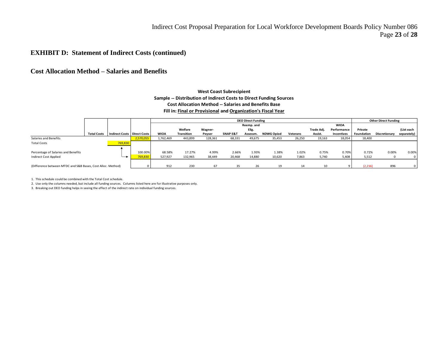#### **EXHIBIT D: Statement of Indirect Costs (continued)**

#### **Cost Allocation Method – Salaries and Benefits**

#### **West Coast Subrecipient Sample -- Distribution of Indirect Costs to Direct Funding Sources Cost Allocation Method -- Salaries and Benefits Base Fill in: Final or Provisional and Organization's Fiscal Year**

|                                                             |                    |                                      |           |             |                   |         |                     | <b>DEO Direct Funding</b> |                   |          |                 |                   |            | <b>Other Direct Funding</b> |             |
|-------------------------------------------------------------|--------------------|--------------------------------------|-----------|-------------|-------------------|---------|---------------------|---------------------------|-------------------|----------|-----------------|-------------------|------------|-----------------------------|-------------|
|                                                             |                    |                                      |           |             |                   |         |                     | Reemp. and                |                   |          |                 | <b>WIOA</b>       |            |                             |             |
|                                                             |                    |                                      |           |             | Welfare           | Wagner- |                     | Elig.                     |                   |          | Trade Adj.      | Performance       | Private    |                             | (List each  |
|                                                             | <b>Total Costs</b> | <b>Indirect Costs   Direct Costs</b> |           | <b>WIOA</b> | <b>Transition</b> | Peyser  | <b>SNAP E&amp;T</b> | Assessm.                  | <b>NDWG Opiod</b> | Veterans | Assist.         | <b>Incentives</b> | Foundation | Discretionary               | separately) |
| Salaries and Benefits                                       |                    |                                      | 2,570,055 | 1,762,469   | 443,899           | 128,361 | 68,331              | 49,675                    | 35,453            | 26,250   | 19,163          | 18,054            | 18,400     |                             |             |
| <b>Total Costs</b>                                          |                    | 769,830                              |           |             |                   |         |                     |                           |                   |          |                 |                   |            |                             |             |
|                                                             |                    |                                      |           |             |                   |         |                     |                           |                   |          |                 |                   |            |                             |             |
| Percentage of Salaries and Benefits                         |                    |                                      | 100.00%   | 68.58%      | 17.27%            | 4.99%   | 2.66%               | 1.93%                     | 1.38%             | 1.02%    | 0.75%           | 0.70%             | 0.72%      | 0.00%                       | 0.00%       |
| <b>Indirect Cost Applied</b>                                |                    | ─                                    | 769,830   | 527,927     | 132,965           | 38,449  | 20,468              | 14,880                    | 10,620            | 7,863    | 5,740           | 5,408             | 5.512      |                             |             |
|                                                             |                    |                                      |           |             |                   |         |                     |                           |                   |          |                 |                   |            |                             |             |
| (Difference between MTDC and S&B Bases, Cost Alloc. Method) |                    |                                      |           | 912         | 230               | 67      | 35                  | 26                        | 19                | 14       | 10 <sup>2</sup> |                   | (2, 216)   | 896                         |             |

1. This schedule could be combined with the Total Cost schedule.

2. Use only the columns needed, but include all funding sources. Columns listed here are for illustrative purposes only.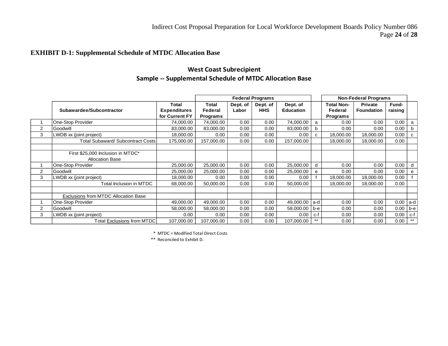#### **EXHIBIT D-1: Supplemental Schedule of MTDC Allocation Base**

# **West Coast Subrecipient Sample -- Supplemental Schedule of MTDC Allocation Base**

|                |                                          |                              |                  |                   | <b>Federal Programs</b> |                              |      |                              | <b>Non-Federal Programs</b>  |                  |      |
|----------------|------------------------------------------|------------------------------|------------------|-------------------|-------------------------|------------------------------|------|------------------------------|------------------------------|------------------|------|
|                | Subawardee/Subcontractor                 | Total<br><b>Expenditures</b> | Total<br>Federal | Dept. of<br>Labor | Dept. of<br><b>HHS</b>  | Dept. of<br><b>Education</b> |      | <b>Total Non-</b><br>Federal | Private<br><b>Foundation</b> | Fund-<br>raising |      |
|                |                                          | for Current FY               | <b>Programs</b>  |                   |                         |                              |      | Programs                     |                              |                  |      |
|                | One-Stop Provider                        | 74,000.00                    | 74,000.00        | 0.00              | 0.00                    | 74,000.00                    | a    | 0.00                         | 0.00                         | 0.00             | a    |
| $\overline{2}$ | Goodwill                                 | 83,000.00                    | 83,000.00        | 0.00              | 0.00                    | 83,000.00                    | b    | 0.00                         | 0.00                         | 0.00             | b    |
| 3              | LWDB xx (joint project)                  | 18,000.00                    | 0.00             | 0.00              | 0.00                    | 0.00                         | С    | 18,000.00                    | 18,000.00                    | 0.00             | C    |
|                | <b>Total Subaward/ Subcontract Costs</b> | 175,000.00                   | 157,000.00       | 0.00              | 0.00                    | 157,000.00                   |      | 18,000.00                    | 18,000.00                    | 0.00             |      |
|                |                                          |                              |                  |                   |                         |                              |      |                              |                              |                  |      |
|                | First \$25,000 Inclusion in MTDC*        |                              |                  |                   |                         |                              |      |                              |                              |                  |      |
|                | <b>Allocation Base</b>                   |                              |                  |                   |                         |                              |      |                              |                              |                  |      |
|                | One-Stop Provider                        | 25,000.00                    | 25,000.00        | 0.00              | 0.00                    | 25,000.00                    | d    | 0.00                         | 0.00                         | 0.00             | d    |
| $\overline{2}$ | Goodwill                                 | 25,000.00                    | 25,000.00        | 0.00              | 0.00                    | 25,000.00                    | e    | 0.00                         | 0.00                         | 0.00             | e    |
| 3              | LWDB xx (joint project)                  | 18,000.00                    | 0.00             | 0.00              | 0.00                    | 0.00                         |      | 18,000.00                    | 18,000.00                    | 0.00             |      |
|                | Total Inclusion in MTDC                  | 68,000.00                    | 50,000.00        | 0.00              | 0.00                    | 50,000.00                    |      | 18,000.00                    | 18,000.00                    | 0.00             |      |
|                |                                          |                              |                  |                   |                         |                              |      |                              |                              |                  |      |
|                | Exclusions from MTDC Allocation Base     |                              |                  |                   |                         |                              |      |                              |                              |                  |      |
|                | One-Stop Provider                        | 49,000.00                    | 49,000.00        | 0.00              | 0.00                    | 49,000.00 a-d                |      | 0.00                         | 0.00                         | 0.00             | a-d  |
| $\overline{2}$ | Goodwill                                 | 58,000.00                    | 58,000.00        | 0.00              | 0.00                    | 58,000.00                    | b-e  | 0.00                         | 0.00                         | 0.00             | b-e  |
| 3              | LWDB xx (joint project)                  | 0.00                         | 0.00             | 0.00              | 0.00                    | 0.00                         | c-f  | 0.00                         | 0.00                         | 0.00             | c-f  |
|                | Total Exclusions from MTDC               | 107,000.00                   | 107,000.00       | 0.00              | 0.00                    | 107,000.00                   | $**$ | 0.00                         | 0.00                         | 0.00             | $**$ |

\* MTDC = Modified Total Direct Costs

\*\* Reconciled to Exhibit D.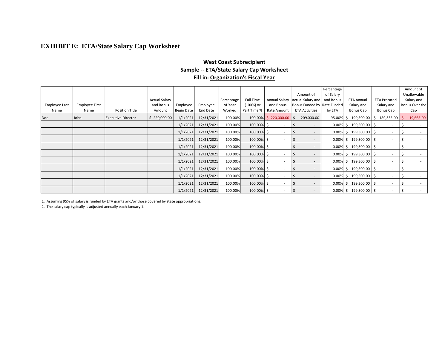# **EXHIBIT E: ETA/State Salary Cap Worksheet**

#### **West Coast Subrecipient Sample -- ETA/State Salary Cap Worksheet Fill in: Organization's Fiscal Year**

|               |                       |                           |               |                   |            |            |               |                          | Amount of                   | Percentage<br>of Salary |                           |                          | Amount of<br>Unallowable |
|---------------|-----------------------|---------------------------|---------------|-------------------|------------|------------|---------------|--------------------------|-----------------------------|-------------------------|---------------------------|--------------------------|--------------------------|
|               |                       |                           | Actual Salary |                   |            | Percentage | Full Time     | Annual Salary            | Actual Salary and           | and Bonus               | <b>ETA Annual</b>         | <b>ETA Prorated</b>      | Salary and               |
| Employee Last | <b>Employee First</b> |                           | and Bonus     | Employee          | Employee   | of Year    | (100%) or     | and Bonus                | Bonus Funded by Rate Funded |                         | Salary and                | Salary and               | Bonus Over the           |
| Name          | Name                  | Position Title            | Amount        | <b>Begin Date</b> | End Date   | Worked     | Part Time %   | Rate Amount              | <b>ETA Activities</b>       | by ETA                  | Bonus Cap                 | Bonus Cap                | Cap                      |
| Doe           | John                  | <b>Executive Director</b> | \$220,000.00  | 1/1/2021          | 12/31/2021 | 100.00%    |               | 100.00% \$ 220,000.00 \$ | 209,000.00                  | 95.00%                  | 199,300.00<br><b>S</b>    | $189,335.00$   \$<br>Ŝ.  | 19,665.00                |
|               |                       |                           |               | 1/1/2021          | 12/31/2021 | 100.00%    | 100.00% \$    |                          |                             |                         | $0.00\%$ \$ 199,300.00 \$ |                          |                          |
|               |                       |                           |               | 1/1/2021          | 12/31/2021 | 100.00%    | $100.00\%$ \$ |                          |                             |                         | $0.00\%$ \$ 199,300.00 \$ | $\sim$                   | -S                       |
|               |                       |                           |               | 1/1/2021          | 12/31/2021 | 100.00%    | 100.00% \$    |                          |                             |                         | $0.00\%$ \$ 199,300.00 \$ |                          |                          |
|               |                       |                           |               | 1/1/2021          | 12/31/2021 | 100.00%    | 100.00% \$    |                          |                             |                         | $0.00\%$ \$ 199,300.00 \$ |                          |                          |
|               |                       |                           |               | 1/1/2021          | 12/31/2021 | 100.00%    | $100.00\%$ \$ |                          |                             |                         | $0.00\%$ \$ 199,300.00 \$ |                          |                          |
|               |                       |                           |               | 1/1/2021          | 12/31/2021 | 100.00%    | $100.00\%$ \$ |                          |                             |                         | $0.00\%$ \$ 199,300.00 \$ |                          |                          |
|               |                       |                           |               | 1/1/2021          | 12/31/2021 | 100.00%    | $100.00\%$ \$ |                          |                             |                         | $0.00\%$ \$ 199,300.00 \$ | $\overline{\phantom{a}}$ |                          |
|               |                       |                           |               | 1/1/2021          | 12/31/2021 | 100.00%    | 100.00% \$    |                          |                             |                         | $0.00\%$ \$ 199,300.00 \$ | $\sim$                   |                          |
|               |                       |                           |               | 1/1/2021          | 12/31/2021 | 100.00%    | 100.00% \$    |                          |                             |                         | $0.00\%$ \$ 199,300.00 \$ |                          | -S                       |
|               |                       |                           |               | 1/1/2021          | 12/31/2021 | 100.00%    | 100.00% \$    |                          |                             |                         | $0.00\%$ \$ 199,300.00 \$ |                          |                          |

1. Assuming 95% of salary is funded by ETA grants and/or those covered by state appropriations.

2. The salary cap typically is adjusted annually each January 1.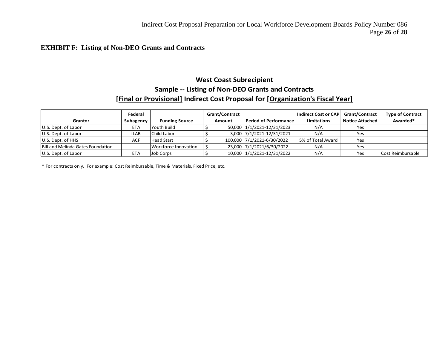#### **EXHIBIT F: Listing of Non-DEO Grants and Contracts**

# **West Coast Subrecipient Sample -- Listing of Non-DEO Grants and Contracts [Final or Provisional] Indirect Cost Proposal for [Organization's Fiscal Year]**

|                                   | Federal     |                       | <b>Grant/Contract</b> |                            | Indirect Cost or CAP | <b>Grant/Contract</b>  | <b>Type of Contract</b> |
|-----------------------------------|-------------|-----------------------|-----------------------|----------------------------|----------------------|------------------------|-------------------------|
| Grantor                           | Subagency   | <b>Funding Source</b> | Amount                | Period of Performance      | <b>Limitations</b>   | <b>Notice Attached</b> | Awarded*                |
| U.S. Dept. of Labor               | <b>ETA</b>  | Youth Build           |                       | 50,000 1/1/2021-12/31/2023 | N/A                  | Yes                    |                         |
| U.S. Dept. of Labor               | <b>ILAB</b> | Child Labor           |                       | 3,000 7/1/2021-12/31/2021  | N/A                  | Yes                    |                         |
| U.S. Dept. of HHS                 | <b>ACF</b>  | <b>Head Start</b>     |                       | 100,000 7/1/2021-6/30/2022 | 5% of Total Award    | Yes                    |                         |
| Bill and Melinda Gates Foundation |             | Workforce Innovation  |                       | 23,000 7/1/2021/6/30/2022  | N/A                  | Yes                    |                         |
| U.S. Dept. of Labor               | <b>ETA</b>  | Job Corps             |                       | 10,000 1/1/2021-12/31/2022 | N/A                  | Yes                    | Cost Reimbursable       |

\* For contracts only. For example: Cost Reimbursable, Time & Materials, Fixed Price, etc.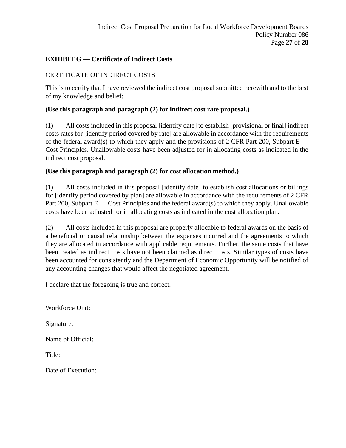# **EXHIBIT G — Certificate of Indirect Costs**

# CERTIFICATE OF INDIRECT COSTS

This is to certify that I have reviewed the indirect cost proposal submitted herewith and to the best of my knowledge and belief:

### **(Use this paragraph and paragraph (2) for indirect cost rate proposal.)**

(1) All costs included in this proposal [identify date] to establish [provisional or final] indirect costs rates for [identify period covered by rate] are allowable in accordance with the requirements of the federal award(s) to which they apply and the provisions of 2 CFR Part 200, Subpart  $E -$ Cost Principles. Unallowable costs have been adjusted for in allocating costs as indicated in the indirect cost proposal.

#### **(Use this paragraph and paragraph (2) for cost allocation method.)**

(1) All costs included in this proposal [identify date] to establish cost allocations or billings for [identify period covered by plan] are allowable in accordance with the requirements of 2 CFR Part 200, Subpart E — Cost Principles and the federal award(s) to which they apply. Unallowable costs have been adjusted for in allocating costs as indicated in the cost allocation plan.

(2) All costs included in this proposal are properly allocable to federal awards on the basis of a beneficial or causal relationship between the expenses incurred and the agreements to which they are allocated in accordance with applicable requirements. Further, the same costs that have been treated as indirect costs have not been claimed as direct costs. Similar types of costs have been accounted for consistently and the Department of Economic Opportunity will be notified of any accounting changes that would affect the negotiated agreement.

I declare that the foregoing is true and correct.

Workforce Unit:

Signature:

Name of Official:

Title:

Date of Execution: